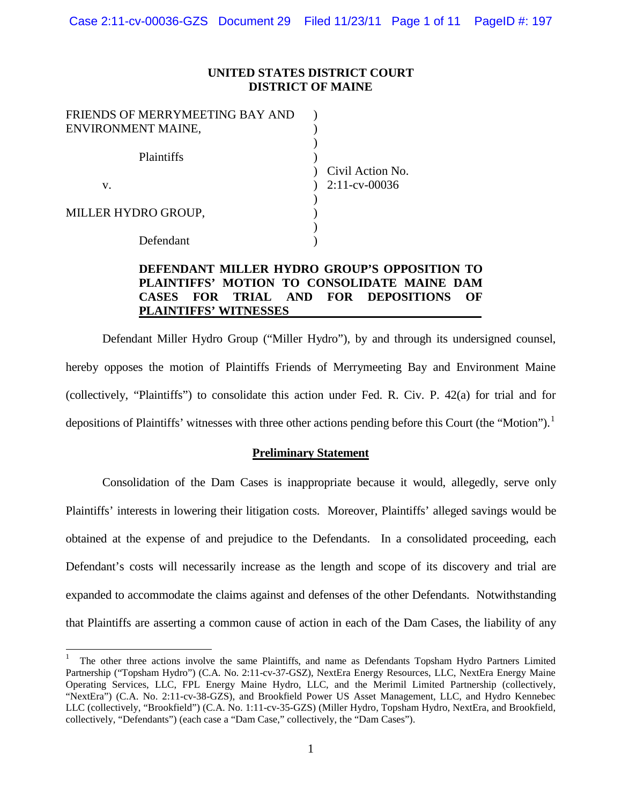### **UNITED STATES DISTRICT COURT DISTRICT OF MAINE**

| FRIENDS OF MERRYMEETING BAY AND |                  |
|---------------------------------|------------------|
| ENVIRONMENT MAINE,              |                  |
| <b>Plaintiffs</b>               | Civil Action No. |
| v.                              | $2:11$ -cv-00036 |
|                                 |                  |
| MILLER HYDRO GROUP,             |                  |
|                                 |                  |
| Defendant                       |                  |

### **DEFENDANT MILLER HYDRO GROUP'S OPPOSITION TO PLAINTIFFS' MOTION TO CONSOLIDATE MAINE DAM CASES FOR TRIAL AND FOR DEPOSITIONS OF PLAINTIFFS' WITNESSES**

Defendant Miller Hydro Group ("Miller Hydro"), by and through its undersigned counsel, hereby opposes the motion of Plaintiffs Friends of Merrymeeting Bay and Environment Maine (collectively, "Plaintiffs") to consolidate this action under Fed. R. Civ. P. 42(a) for trial and for depositions of Plaintiffs' witnesses with three other actions pending before this Court (the "Motion").<sup>[1](#page-0-0)</sup>

### **Preliminary Statement**

Consolidation of the Dam Cases is inappropriate because it would, allegedly, serve only Plaintiffs' interests in lowering their litigation costs. Moreover, Plaintiffs' alleged savings would be obtained at the expense of and prejudice to the Defendants. In a consolidated proceeding, each Defendant's costs will necessarily increase as the length and scope of its discovery and trial are expanded to accommodate the claims against and defenses of the other Defendants. Notwithstanding that Plaintiffs are asserting a common cause of action in each of the Dam Cases, the liability of any

<span id="page-0-0"></span> <sup>1</sup> The other three actions involve the same Plaintiffs, and name as Defendants Topsham Hydro Partners Limited Partnership ("Topsham Hydro") (C.A. No. 2:11-cv-37-GSZ), NextEra Energy Resources, LLC, NextEra Energy Maine Operating Services, LLC, FPL Energy Maine Hydro, LLC, and the Merimil Limited Partnership (collectively, "NextEra") (C.A. No. 2:11-cv-38-GZS), and Brookfield Power US Asset Management, LLC, and Hydro Kennebec LLC (collectively, "Brookfield") (C.A. No. 1:11-cv-35-GZS) (Miller Hydro, Topsham Hydro, NextEra, and Brookfield, collectively, "Defendants") (each case a "Dam Case," collectively, the "Dam Cases").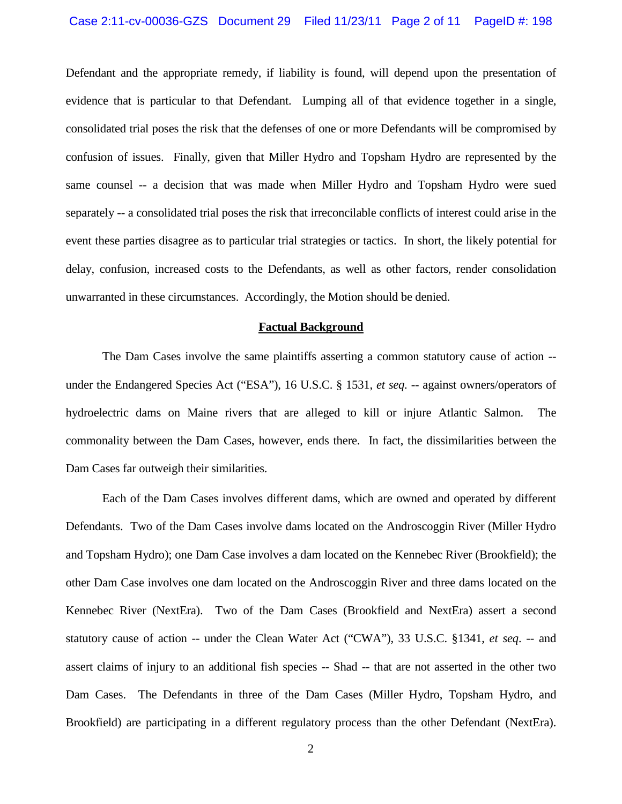#### Case 2:11-cv-00036-GZS Document 29 Filed 11/23/11 Page 2 of 11 PageID #: 198

Defendant and the appropriate remedy, if liability is found, will depend upon the presentation of evidence that is particular to that Defendant. Lumping all of that evidence together in a single, consolidated trial poses the risk that the defenses of one or more Defendants will be compromised by confusion of issues. Finally, given that Miller Hydro and Topsham Hydro are represented by the same counsel -- a decision that was made when Miller Hydro and Topsham Hydro were sued separately -- a consolidated trial poses the risk that irreconcilable conflicts of interest could arise in the event these parties disagree as to particular trial strategies or tactics. In short, the likely potential for delay, confusion, increased costs to the Defendants, as well as other factors, render consolidation unwarranted in these circumstances. Accordingly, the Motion should be denied.

#### **Factual Background**

The Dam Cases involve the same plaintiffs asserting a common statutory cause of action - under the Endangered Species Act ("ESA"), 16 U.S.C. § 1531, *et seq. --* against owners/operators of hydroelectric dams on Maine rivers that are alleged to kill or injure Atlantic Salmon. The commonality between the Dam Cases, however, ends there. In fact, the dissimilarities between the Dam Cases far outweigh their similarities.

Each of the Dam Cases involves different dams, which are owned and operated by different Defendants. Two of the Dam Cases involve dams located on the Androscoggin River (Miller Hydro and Topsham Hydro); one Dam Case involves a dam located on the Kennebec River (Brookfield); the other Dam Case involves one dam located on the Androscoggin River and three dams located on the Kennebec River (NextEra). Two of the Dam Cases (Brookfield and NextEra) assert a second statutory cause of action -- under the Clean Water Act ("CWA"), 33 U.S.C. §1341, *et seq*. -- and assert claims of injury to an additional fish species -- Shad -- that are not asserted in the other two Dam Cases. The Defendants in three of the Dam Cases (Miller Hydro, Topsham Hydro, and Brookfield) are participating in a different regulatory process than the other Defendant (NextEra).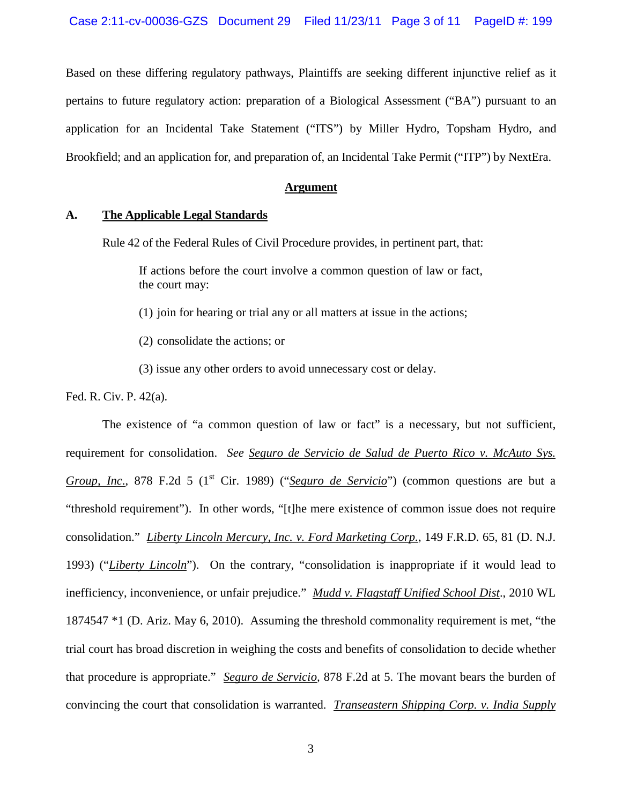Based on these differing regulatory pathways, Plaintiffs are seeking different injunctive relief as it pertains to future regulatory action: preparation of a Biological Assessment ("BA") pursuant to an application for an Incidental Take Statement ("ITS") by Miller Hydro, Topsham Hydro, and Brookfield; and an application for, and preparation of, an Incidental Take Permit ("ITP") by NextEra.

### **Argument**

#### **A. The Applicable Legal Standards**

Rule 42 of the Federal Rules of Civil Procedure provides, in pertinent part, that:

If actions before the court involve a common question of law or fact, the court may:

(1) join for hearing or trial any or all matters at issue in the actions;

- (2) consolidate the actions; or
- (3) issue any other orders to avoid unnecessary cost or delay.

Fed. R. Civ. P. 42(a).

The existence of "a common question of law or fact" is a necessary, but not sufficient, requirement for consolidation. *See Seguro de Servicio de Salud de Puerto Rico v. McAuto Sys. Group, Inc.*, 878 F.2d 5 (1<sup>st</sup> Cir. 1989) ("*Seguro de Servicio*") (common questions are but a "threshold requirement"). In other words, "[t]he mere existence of common issue does not require consolidation." *Liberty Lincoln Mercury, Inc. v. Ford Marketing Corp.*, 149 F.R.D. 65, 81 (D. N.J. 1993) ("*Liberty Lincoln*"). On the contrary, "consolidation is inappropriate if it would lead to inefficiency, inconvenience, or unfair prejudice." *Mudd v. Flagstaff Unified School Dist*., 2010 WL 1874547 \*1 (D. Ariz. May 6, 2010). Assuming the threshold commonality requirement is met, "the trial court has broad discretion in weighing the costs and benefits of consolidation to decide whether that procedure is appropriate." *Seguro de Servicio,* 878 F.2d at 5. The movant bears the burden of convincing the court that consolidation is warranted. *Transeastern Shipping Corp. v. India Supply*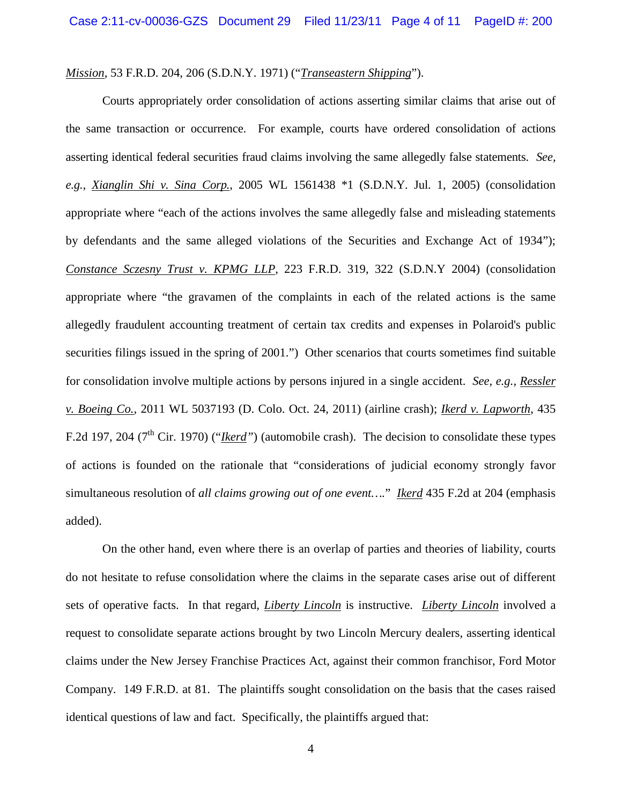### *Mission*, 53 F.R.D. 204, 206 (S.D.N.Y. 1971) ("*Transeastern Shipping*").

Courts appropriately order consolidation of actions asserting similar claims that arise out of the same transaction or occurrence. For example, courts have ordered consolidation of actions asserting identical federal securities fraud claims involving the same allegedly false statements. *See, e.g., Xianglin Shi v. Sina Corp.*, 2005 WL 1561438 \*1 (S.D.N.Y. Jul. 1, 2005) (consolidation appropriate where "each of the actions involves the same allegedly false and misleading statements by defendants and the same alleged violations of the Securities and Exchange Act of 1934"); *Constance Sczesny Trust v. KPMG LLP*, 223 F.R.D. 319, 322 (S.D.N.Y 2004) (consolidation appropriate where "the gravamen of the complaints in each of the related actions is the same allegedly fraudulent accounting treatment of certain tax credits and expenses in Polaroid's public securities filings issued in the spring of 2001.") Other scenarios that courts sometimes find suitable for consolidation involve multiple actions by persons injured in a single accident. *See, e.g., Ressler v. [Boeing Co](http://elibraries.westlaw.com/find/default.wl?docname=CIK(0000012927+LE10219550)&rp=%2ffind%2fdefault.wl&sv=Split&utid=2&rs=EW1.0&db=CO-LPAGE&findtype=l&fn=_top&mt=TabTemplate1&vr=2.0&spa=bernshur-5001).,* 2011 WL 5037193 (D. Colo. Oct. 24, 2011) (airline crash); *Ikerd v. Lapworth*, 435 F.2d 197, 204 (7<sup>th</sup> Cir. 1970) ("*Ikerd*") (automobile crash). The decision to consolidate these types of actions is founded on the rationale that "considerations of judicial economy strongly favor simultaneous resolution of *all claims growing out of one event….*" *Ikerd* 435 F.2d at 204 (emphasis added).

On the other hand, even where there is an overlap of parties and theories of liability, courts do not hesitate to refuse consolidation where the claims in the separate cases arise out of different sets of operative facts. In that regard, *Liberty Lincoln* is instructive. *Liberty Lincoln* involved a request to consolidate separate actions brought by two Lincoln Mercury dealers, asserting identical claims under the New Jersey Franchise Practices Act, against their common franchisor, Ford Motor Company. 149 F.R.D. at 81. The plaintiffs sought consolidation on the basis that the cases raised identical questions of law and fact. Specifically, the plaintiffs argued that: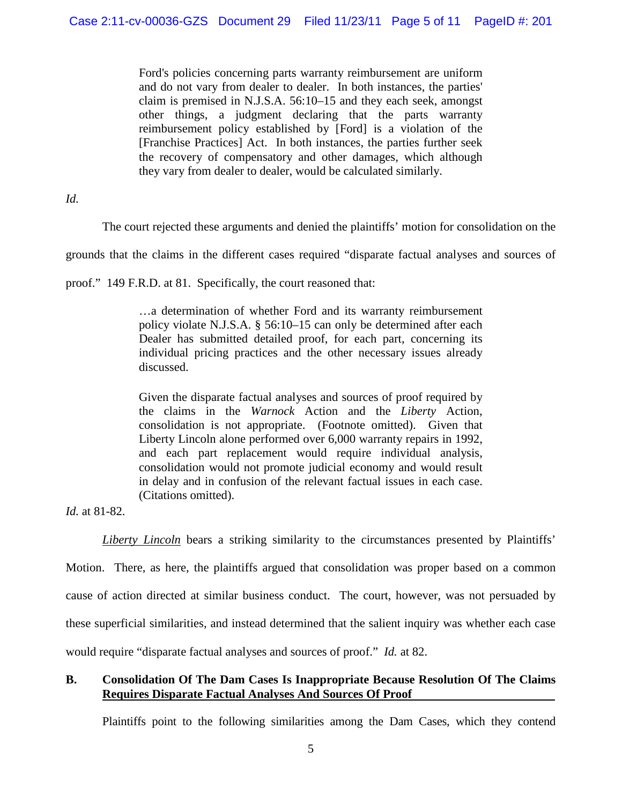Ford's policies concerning parts warranty reimbursement are uniform and do not vary from dealer to dealer. In both instances, the parties' claim is premised in [N.J.S.A. 56:10–15](http://elibraries.westlaw.com/find/default.wl?tc=-1&sp=bernshur-5001&docname=NJST56%3a10-15&rp=%2ffind%2fdefault.wl&sv=Split&rs=EW1.0&db=1000045&tf=-1&findtype=L&fn=_top&vr=2.0&pbc=817309AD&ordoc=1993121234) and they each seek, amongst other things, a judgment declaring that the parts warranty reimbursement policy established by [Ford] is a violation of the [Franchise Practices] Act. In both instances, the parties further seek the recovery of compensatory and other damages, which although they vary from dealer to dealer, would be calculated similarly.

*Id.*

The court rejected these arguments and denied the plaintiffs' motion for consolidation on the

grounds that the claims in the different cases required "disparate factual analyses and sources of

proof." 149 F.R.D. at 81. Specifically, the court reasoned that:

…a determination of whether Ford and its warranty reimbursement policy violate [N.J.S.A. § 56:10–15](http://elibraries.westlaw.com/find/default.wl?tc=-1&docname=NJST56%3a10-15&rp=%2ffind%2fdefault.wl&sv=Split&utid=2&rs=EW1.0&db=1000045&tf=-1&findtype=L&fn=_top&mt=TabTemplate1&vr=2.0&spa=bernshur-5001&pbc=E81B80E1&ordoc=1993121234) can only be determined after each Dealer has submitted detailed proof, for each part, concerning its individual pricing practices and the other necessary issues already discussed.

Given the disparate factual analyses and sources of proof required by the claims in the *Warnock* Action and the *Liberty* Action, consolidation is not appropriate. (Footnote omitted). Given that Liberty Lincoln alone performed over 6,000 warranty repairs in 1992, and each part replacement would require individual analysis, consolidation would not promote judicial economy and would result in delay and in confusion of the relevant factual issues in each case. (Citations omitted).

*Id.* at 81-82.

*Liberty Lincoln* bears a striking similarity to the circumstances presented by Plaintiffs'

Motion. There, as here, the plaintiffs argued that consolidation was proper based on a common cause of action directed at similar business conduct. The court, however, was not persuaded by these superficial similarities, and instead determined that the salient inquiry was whether each case would require "disparate factual analyses and sources of proof." *Id.* at 82.

# **B. Consolidation Of The Dam Cases Is Inappropriate Because Resolution Of The Claims Requires Disparate Factual Analyses And Sources Of Proof**

Plaintiffs point to the following similarities among the Dam Cases, which they contend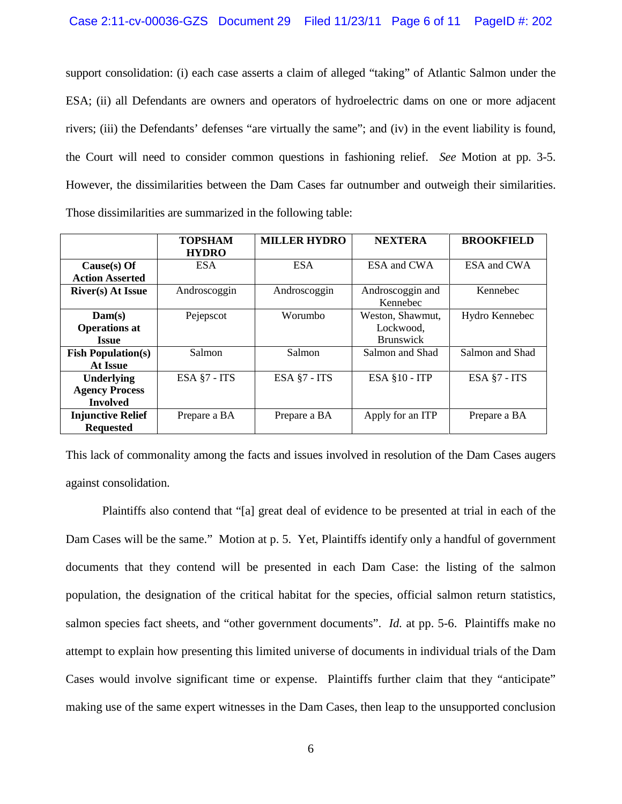support consolidation: (i) each case asserts a claim of alleged "taking" of Atlantic Salmon under the ESA; (ii) all Defendants are owners and operators of hydroelectric dams on one or more adjacent rivers; (iii) the Defendants' defenses "are virtually the same"; and (iv) in the event liability is found, the Court will need to consider common questions in fashioning relief. *See* Motion at pp. 3-5. However, the dissimilarities between the Dam Cases far outnumber and outweigh their similarities. Those dissimilarities are summarized in the following table:

|                                                               | <b>TOPSHAM</b><br><b>HYDRO</b> | <b>MILLER HYDRO</b> | <b>NEXTERA</b>                                    | <b>BROOKFIELD</b> |
|---------------------------------------------------------------|--------------------------------|---------------------|---------------------------------------------------|-------------------|
| $Cause(s)$ Of<br><b>Action Asserted</b>                       | <b>ESA</b>                     | <b>ESA</b>          | ESA and CWA                                       | ESA and CWA       |
| <b>River(s)</b> At Issue                                      | Androscoggin                   | Androscoggin        | Androscoggin and<br>Kennebec                      | Kennebec          |
| Dam(s)<br><b>Operations at</b><br><b>Issue</b>                | Pejepscot                      | Worumbo             | Weston, Shawmut,<br>Lockwood,<br><b>Brunswick</b> | Hydro Kennebec    |
| <b>Fish Population(s)</b><br><b>At Issue</b>                  | <b>Salmon</b>                  | Salmon              | Salmon and Shad                                   | Salmon and Shad   |
| <b>Underlying</b><br><b>Agency Process</b><br><b>Involved</b> | ESA $§7 - ITS$                 | ESA §7 - ITS        | ESA $§10 - ITP$                                   | ESA §7 - ITS      |
| <b>Injunctive Relief</b><br><b>Requested</b>                  | Prepare a BA                   | Prepare a BA        | Apply for an ITP                                  | Prepare a BA      |

This lack of commonality among the facts and issues involved in resolution of the Dam Cases augers against consolidation.

Plaintiffs also contend that "[a] great deal of evidence to be presented at trial in each of the Dam Cases will be the same." Motion at p. 5. Yet, Plaintiffs identify only a handful of government documents that they contend will be presented in each Dam Case: the listing of the salmon population, the designation of the critical habitat for the species, official salmon return statistics, salmon species fact sheets, and "other government documents". *Id.* at pp. 5-6. Plaintiffs make no attempt to explain how presenting this limited universe of documents in individual trials of the Dam Cases would involve significant time or expense. Plaintiffs further claim that they "anticipate" making use of the same expert witnesses in the Dam Cases, then leap to the unsupported conclusion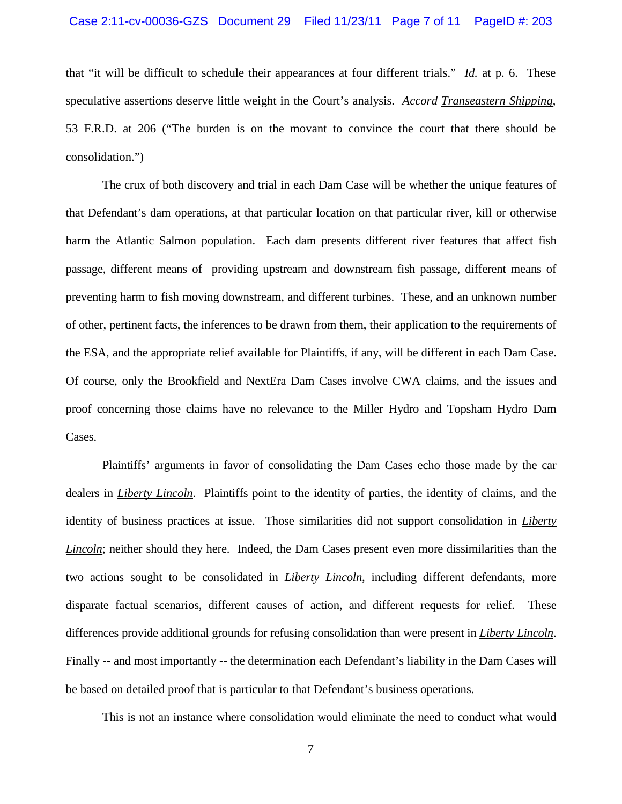that "it will be difficult to schedule their appearances at four different trials." *Id.* at p. 6. These speculative assertions deserve little weight in the Court's analysis. *Accord Transeastern Shipping*, 53 F.R.D. at 206 ("The burden is on the movant to convince the court that there should be consolidation.")

The crux of both discovery and trial in each Dam Case will be whether the unique features of that Defendant's dam operations, at that particular location on that particular river, kill or otherwise harm the Atlantic Salmon population. Each dam presents different river features that affect fish passage, different means of providing upstream and downstream fish passage, different means of preventing harm to fish moving downstream, and different turbines. These, and an unknown number of other, pertinent facts, the inferences to be drawn from them, their application to the requirements of the ESA, and the appropriate relief available for Plaintiffs, if any, will be different in each Dam Case. Of course, only the Brookfield and NextEra Dam Cases involve CWA claims, and the issues and proof concerning those claims have no relevance to the Miller Hydro and Topsham Hydro Dam Cases.

Plaintiffs' arguments in favor of consolidating the Dam Cases echo those made by the car dealers in *Liberty Lincoln*. Plaintiffs point to the identity of parties, the identity of claims, and the identity of business practices at issue. Those similarities did not support consolidation in *Liberty Lincoln*; neither should they here. Indeed, the Dam Cases present even more dissimilarities than the two actions sought to be consolidated in *Liberty Lincoln*, including different defendants, more disparate factual scenarios, different causes of action, and different requests for relief. These differences provide additional grounds for refusing consolidation than were present in *Liberty Lincoln*. Finally -- and most importantly -- the determination each Defendant's liability in the Dam Cases will be based on detailed proof that is particular to that Defendant's business operations.

This is not an instance where consolidation would eliminate the need to conduct what would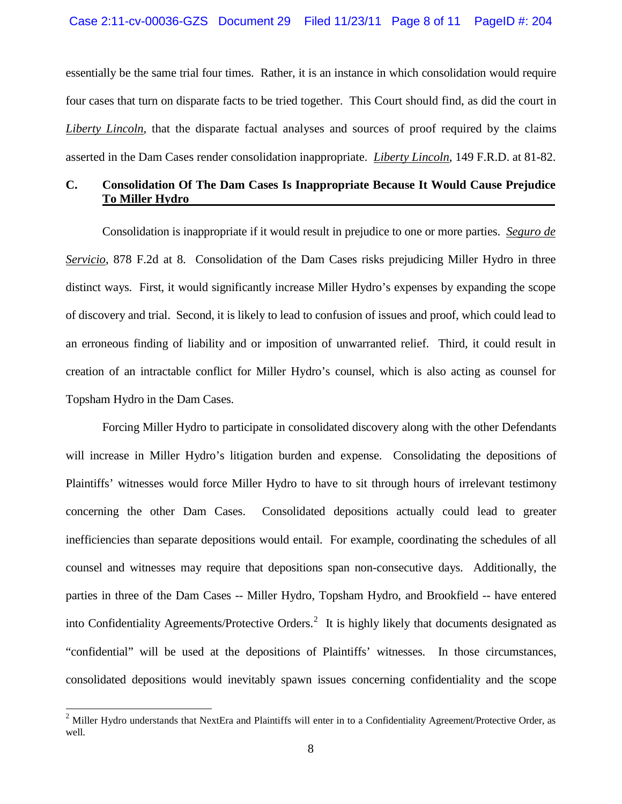essentially be the same trial four times. Rather, it is an instance in which consolidation would require four cases that turn on disparate facts to be tried together. This Court should find, as did the court in *Liberty Lincoln*, that the disparate factual analyses and sources of proof required by the claims asserted in the Dam Cases render consolidation inappropriate. *Liberty Lincoln*, 149 F.R.D. at 81-82.

## **C. Consolidation Of The Dam Cases Is Inappropriate Because It Would Cause Prejudice To Miller Hydro**

Consolidation is inappropriate if it would result in prejudice to one or more parties. *Seguro de Servicio*, 878 F.2d at 8. Consolidation of the Dam Cases risks prejudicing Miller Hydro in three distinct ways. First, it would significantly increase Miller Hydro's expenses by expanding the scope of discovery and trial. Second, it is likely to lead to confusion of issues and proof, which could lead to an erroneous finding of liability and or imposition of unwarranted relief. Third, it could result in creation of an intractable conflict for Miller Hydro's counsel, which is also acting as counsel for Topsham Hydro in the Dam Cases.

Forcing Miller Hydro to participate in consolidated discovery along with the other Defendants will increase in Miller Hydro's litigation burden and expense. Consolidating the depositions of Plaintiffs' witnesses would force Miller Hydro to have to sit through hours of irrelevant testimony concerning the other Dam Cases. Consolidated depositions actually could lead to greater inefficiencies than separate depositions would entail. For example, coordinating the schedules of all counsel and witnesses may require that depositions span non-consecutive days. Additionally, the parties in three of the Dam Cases -- Miller Hydro, Topsham Hydro, and Brookfield -- have entered into Confidentiality Agreements/Protective Orders.<sup>[2](#page-7-0)</sup> It is highly likely that documents designated as "confidential" will be used at the depositions of Plaintiffs' witnesses. In those circumstances, consolidated depositions would inevitably spawn issues concerning confidentiality and the scope

<span id="page-7-0"></span> $2$  Miller Hydro understands that NextEra and Plaintiffs will enter in to a Confidentiality Agreement/Protective Order, as well.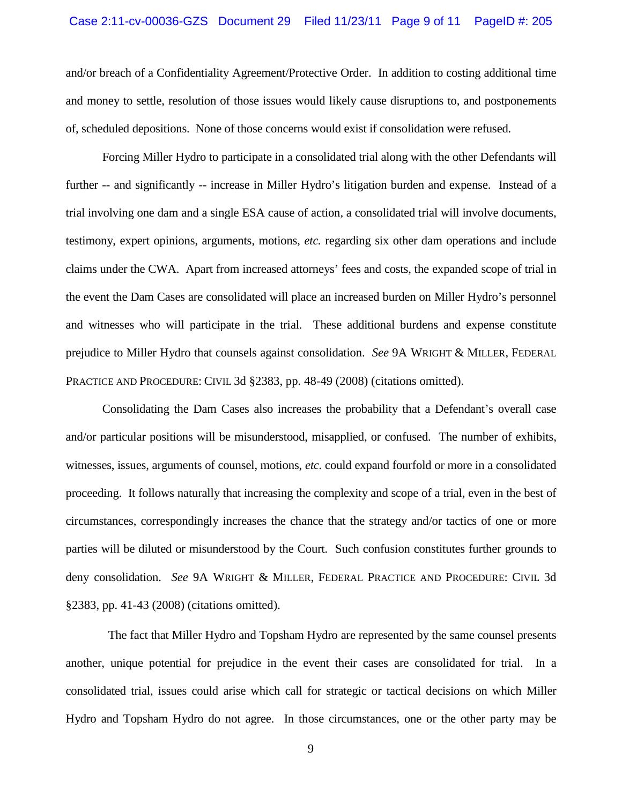### Case 2:11-cv-00036-GZS Document 29 Filed 11/23/11 Page 9 of 11 PageID #: 205

and/or breach of a Confidentiality Agreement/Protective Order. In addition to costing additional time and money to settle, resolution of those issues would likely cause disruptions to, and postponements of, scheduled depositions. None of those concerns would exist if consolidation were refused.

Forcing Miller Hydro to participate in a consolidated trial along with the other Defendants will further -- and significantly -- increase in Miller Hydro's litigation burden and expense. Instead of a trial involving one dam and a single ESA cause of action, a consolidated trial will involve documents, testimony, expert opinions, arguments, motions, *etc.* regarding six other dam operations and include claims under the CWA. Apart from increased attorneys' fees and costs, the expanded scope of trial in the event the Dam Cases are consolidated will place an increased burden on Miller Hydro's personnel and witnesses who will participate in the trial. These additional burdens and expense constitute prejudice to Miller Hydro that counsels against consolidation. *See* 9A WRIGHT & MILLER, FEDERAL PRACTICE AND PROCEDURE: CIVIL 3d §2383, pp. 48-49 (2008) (citations omitted).

Consolidating the Dam Cases also increases the probability that a Defendant's overall case and/or particular positions will be misunderstood, misapplied, or confused. The number of exhibits, witnesses, issues, arguments of counsel, motions, *etc.* could expand fourfold or more in a consolidated proceeding. It follows naturally that increasing the complexity and scope of a trial, even in the best of circumstances, correspondingly increases the chance that the strategy and/or tactics of one or more parties will be diluted or misunderstood by the Court. Such confusion constitutes further grounds to deny consolidation. *See* 9A WRIGHT & MILLER, FEDERAL PRACTICE AND PROCEDURE: CIVIL 3d §2383, pp. 41-43 (2008) (citations omitted).

 The fact that Miller Hydro and Topsham Hydro are represented by the same counsel presents another, unique potential for prejudice in the event their cases are consolidated for trial. In a consolidated trial, issues could arise which call for strategic or tactical decisions on which Miller Hydro and Topsham Hydro do not agree. In those circumstances, one or the other party may be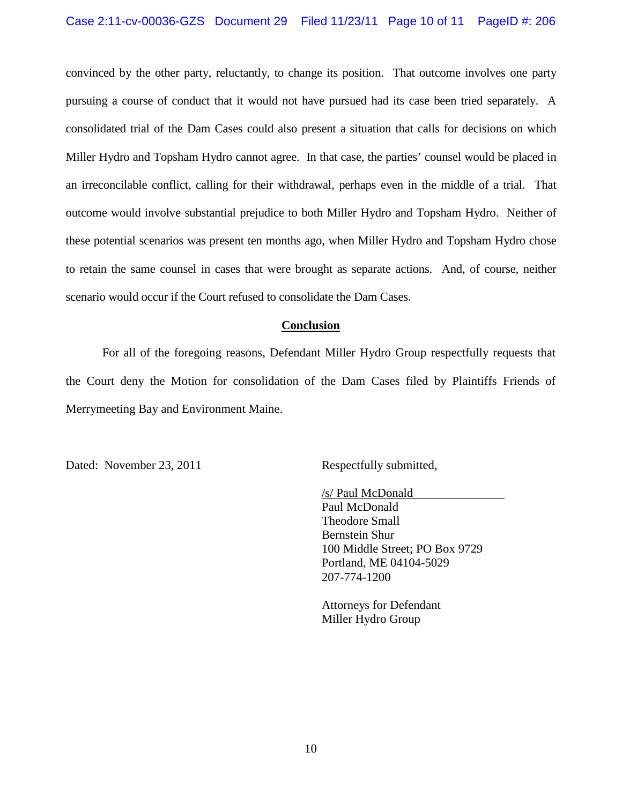### Case 2:11-cv-00036-GZS Document 29 Filed 11/23/11 Page 10 of 11 PageID #: 206

convinced by the other party, reluctantly, to change its position. That outcome involves one party pursuing a course of conduct that it would not have pursued had its case been tried separately. A consolidated trial of the Dam Cases could also present a situation that calls for decisions on which Miller Hydro and Topsham Hydro cannot agree. In that case, the parties' counsel would be placed in an irreconcilable conflict, calling for their withdrawal, perhaps even in the middle of a trial. That outcome would involve substantial prejudice to both Miller Hydro and Topsham Hydro. Neither of these potential scenarios was present ten months ago, when Miller Hydro and Topsham Hydro chose to retain the same counsel in cases that were brought as separate actions. And, of course, neither scenario would occur if the Court refused to consolidate the Dam Cases.

### **Conclusion**

For all of the foregoing reasons, Defendant Miller Hydro Group respectfully requests that the Court deny the Motion for consolidation of the Dam Cases filed by Plaintiffs Friends of Merrymeeting Bay and Environment Maine.

Dated: November 23, 2011 Respectfully submitted,

/s/ Paul McDonald Paul McDonald Theodore Small Bernstein Shur 100 Middle Street; PO Box 9729 Portland, ME 04104-5029 207-774-1200

Attorneys for Defendant Miller Hydro Group